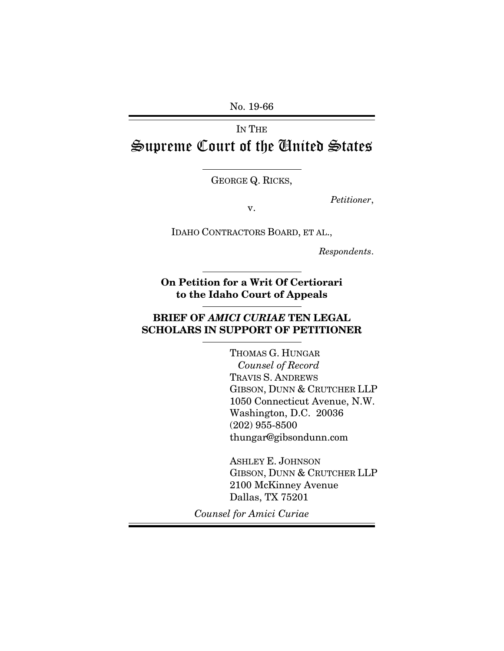No. 19-66

IN THE Supreme Court of the United States

GEORGE Q. RICKS,

*Petitioner*, v.

IDAHO CONTRACTORS BOARD, ET AL.,

*Respondents*.

**On Petition for a Writ Of Certiorari to the Idaho Court of Appeals**

# **BRIEF OF** *AMICI CURIAE* **TEN LEGAL SCHOLARS IN SUPPORT OF PETITIONER**

THOMAS G. HUNGAR  *Counsel of Record* TRAVIS S. ANDREWS GIBSON, DUNN & CRUTCHER LLP 1050 Connecticut Avenue, N.W. Washington, D.C. 20036 (202) 955-8500 thungar@gibsondunn.com

ASHLEY E. JOHNSON GIBSON, DUNN & CRUTCHER LLP 2100 McKinney Avenue Dallas, TX 75201

*Counsel for Amici Curiae*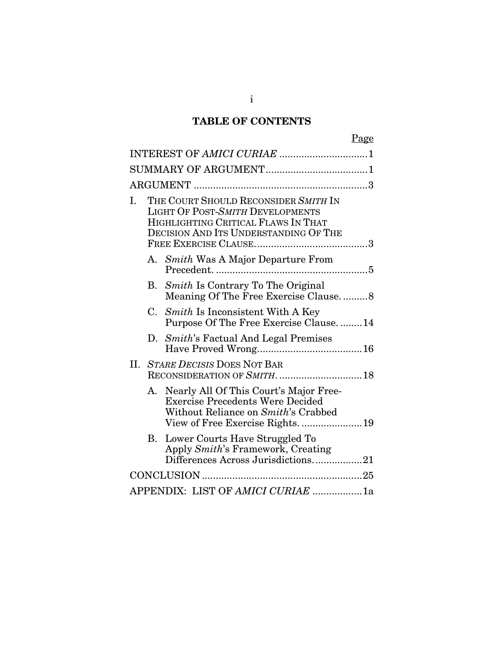# **TABLE OF CONTENTS**

|     |                            |                                                                                                                                                                 | Page |  |  |
|-----|----------------------------|-----------------------------------------------------------------------------------------------------------------------------------------------------------------|------|--|--|
|     | INTEREST OF AMICI CURIAE 1 |                                                                                                                                                                 |      |  |  |
|     |                            |                                                                                                                                                                 |      |  |  |
|     |                            |                                                                                                                                                                 |      |  |  |
| I.  |                            | THE COURT SHOULD RECONSIDER SMITH IN<br><b>LIGHT OF POST-SMITH DEVELOPMENTS</b><br>HIGHLIGHTING CRITICAL FLAWS IN THAT<br>DECISION AND ITS UNDERSTANDING OF THE |      |  |  |
|     |                            | A. Smith Was A Major Departure From                                                                                                                             |      |  |  |
|     | В.                         | <i>Smith</i> Is Contrary To The Original<br>Meaning Of The Free Exercise Clause8                                                                                |      |  |  |
|     | C.                         | <i>Smith</i> Is Inconsistent With A Key<br>Purpose Of The Free Exercise Clause14                                                                                |      |  |  |
|     |                            | D. Smith's Factual And Legal Premises                                                                                                                           |      |  |  |
| II. |                            | <b>STARE DECISIS DOES NOT BAR</b><br>RECONSIDERATION OF SMITH.  18                                                                                              |      |  |  |
|     | A.                         | Nearly All Of This Court's Major Free-<br><b>Exercise Precedents Were Decided</b><br>Without Reliance on Smith's Crabbed<br>View of Free Exercise Rights19      |      |  |  |
|     | Β.                         | Lower Courts Have Struggled To<br>Apply Smith's Framework, Creating<br>Differences Across Jurisdictions21                                                       |      |  |  |
|     |                            |                                                                                                                                                                 |      |  |  |
|     |                            | APPENDIX: LIST OF AMICI CURIAE 1a                                                                                                                               |      |  |  |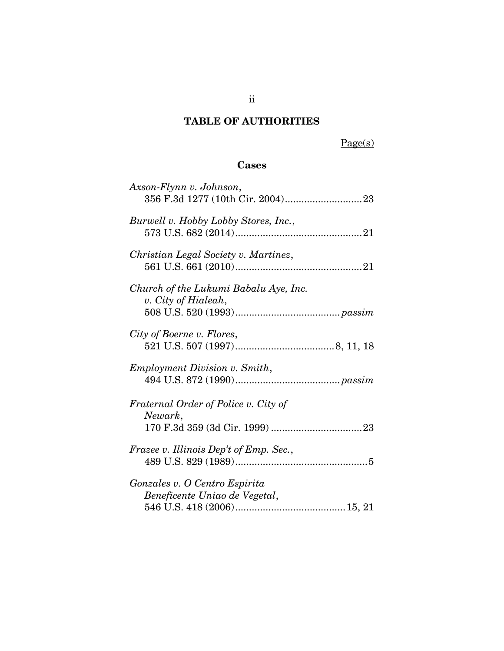# **TABLE OF AUTHORITIES**

Page(s)

# **Cases**

| Axson-Flynn v. Johnson,                                        |
|----------------------------------------------------------------|
| Burwell v. Hobby Lobby Stores, Inc.,                           |
| Christian Legal Society v. Martinez,                           |
| Church of the Lukumi Babalu Aye, Inc.<br>v. City of Hialeah,   |
| City of Boerne v. Flores,                                      |
| Employment Division v. Smith,                                  |
| Fraternal Order of Police v. City of<br>Newark,                |
| Frazee v. Illinois Dep't of Emp. Sec.,                         |
| Gonzales v. O Centro Espirita<br>Beneficente Uniao de Vegetal, |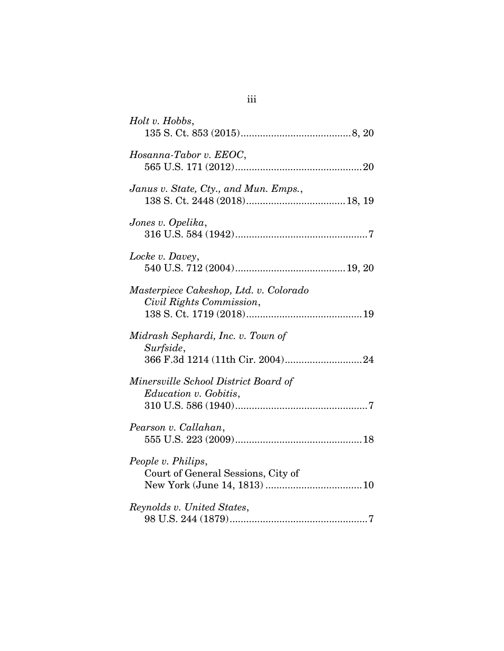| Holt v. Hobbs,                                                                                                                                                                                                                                                                                                                                                |
|---------------------------------------------------------------------------------------------------------------------------------------------------------------------------------------------------------------------------------------------------------------------------------------------------------------------------------------------------------------|
| Hosanna-Tabor v. EEOC,                                                                                                                                                                                                                                                                                                                                        |
| Janus v. State, Cty., and Mun. Emps.,                                                                                                                                                                                                                                                                                                                         |
| Jones v. Opelika,                                                                                                                                                                                                                                                                                                                                             |
| Locke v. Davey,                                                                                                                                                                                                                                                                                                                                               |
| Masterpiece Cakeshop, Ltd. v. Colorado<br>Civil Rights Commission,                                                                                                                                                                                                                                                                                            |
| Midrash Sephardi, Inc. v. Town of<br>Surfside,                                                                                                                                                                                                                                                                                                                |
| Minersville School District Board of<br>Education v. Gobitis,                                                                                                                                                                                                                                                                                                 |
| Pearson v. Callahan,                                                                                                                                                                                                                                                                                                                                          |
| People v. Philips,<br>Court of General Sessions, City of                                                                                                                                                                                                                                                                                                      |
| Reynolds v. United States,<br>$98 \text{ U.S. } 244 \, (1879) \dots 568 \, (1879) \dots 568 \, (1899) \dots 568 \, (1899) \dots 568 \, (1899) \dots 568 \, (1899) \dots 568 \, (1899) \dots 568 \, (1899) \dots 568 \, (1899) \dots 568 \, (1899) \dots 568 \, (1899) \dots 568 \, (1899) \dots 568 \, (1899) \dots 568 \, (1899) \dots 568 \, (1899) \dots $ |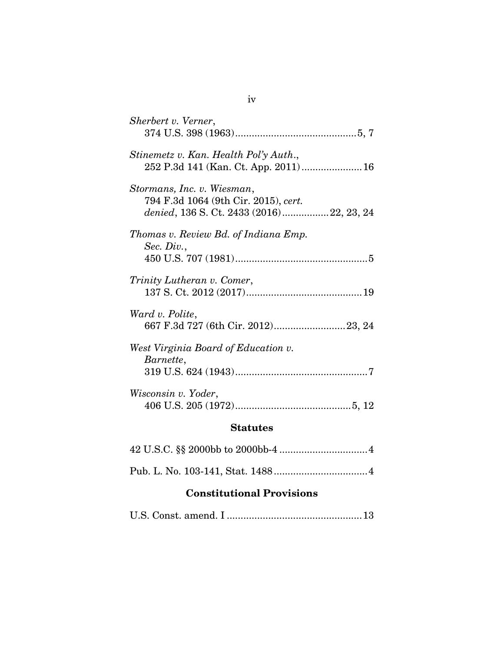| $\mathbf{Q}$ totutog                                                                                           |
|----------------------------------------------------------------------------------------------------------------|
| Wisconsin v. Yoder,                                                                                            |
| West Virginia Board of Education v.<br>Barnette,                                                               |
| Ward v. Polite,                                                                                                |
| Trinity Lutheran v. Comer,                                                                                     |
| Thomas v. Review Bd. of Indiana Emp.<br>Sec. Div.,                                                             |
| Stormans, Inc. v. Wiesman,<br>794 F.3d 1064 (9th Cir. 2015), cert.<br>denied, 136 S. Ct. 2433 (2016)22, 23, 24 |
| Stinemetz v. Kan. Health Pol'y Auth.,                                                                          |
| Sherbert v. Verner,                                                                                            |

#### **Statutes**

# **Constitutional Provisions**

|--|--|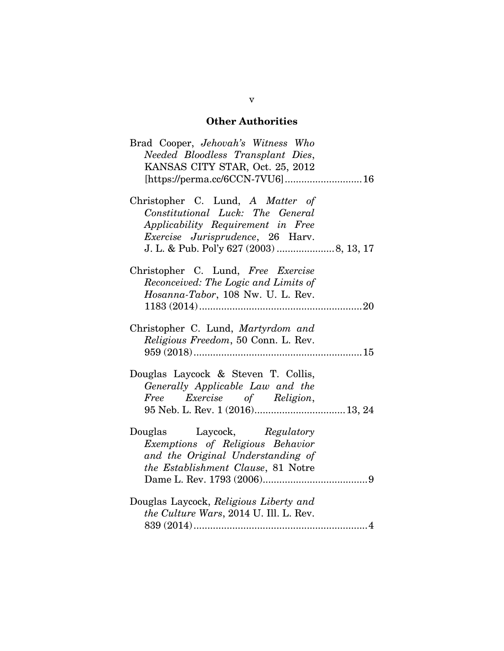# **Other Authorities**

| Brad Cooper, <i>Jehovah's</i> Witness Who<br>Needed Bloodless Transplant Dies,<br>KANSAS CITY STAR, Oct. 25, 2012                             |
|-----------------------------------------------------------------------------------------------------------------------------------------------|
| Christopher C. Lund, A Matter of<br>Constitutional Luck: The General<br>Applicability Requirement in Free<br>Exercise Jurisprudence, 26 Harv. |
| Christopher C. Lund, Free Exercise<br>Reconceived: The Logic and Limits of<br>Hosanna-Tabor, 108 Nw. U. L. Rev.                               |
| Christopher C. Lund, Martyrdom and<br>Religious Freedom, 50 Conn. L. Rev.                                                                     |
| Douglas Laycock & Steven T. Collis,<br>Generally Applicable Law and the<br>Free Exercise of Religion,                                         |
| Douglas Laycock, Regulatory<br>Exemptions of Religious Behavior<br>and the Original Understanding of<br>the Establishment Clause, 81 Notre    |
| Douglas Laycock, Religious Liberty and<br>the Culture Wars, 2014 U. Ill. L. Rev.<br>$839~(2014) \dots 14$                                     |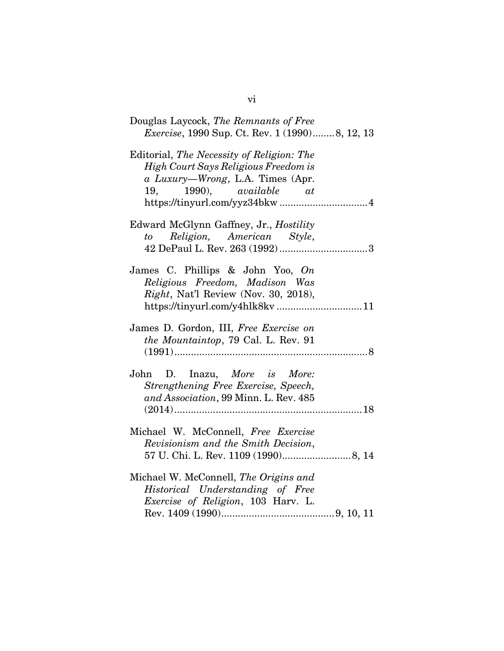| Douglas Laycock, The Remnants of Free                                                                                                                     |
|-----------------------------------------------------------------------------------------------------------------------------------------------------------|
| <i>Exercise</i> , 1990 Sup. Ct. Rev. 1 (1990)8, 12, 13                                                                                                    |
| Editorial, The Necessity of Religion: The<br>High Court Says Religious Freedom is<br>a Luxury—Wrong, L.A. Times (Apr.<br>$1990$ , $available$ $at$<br>19, |
| Edward McGlynn Gaffney, Jr., Hostility<br>to Religion, American Style,                                                                                    |
| James C. Phillips & John Yoo, On<br>Religious Freedom, Madison Was<br><i>Right</i> , Nat'l Review (Nov. 30, 2018),                                        |
| James D. Gordon, III, Free Exercise on<br>the Mountaintop, 79 Cal. L. Rev. 91                                                                             |
| John D. Inazu, More is More:<br>Strengthening Free Exercise, Speech,<br>and Association, 99 Minn. L. Rev. 485                                             |
| Michael W. McConnell, Free Exercise<br>Revisionism and the Smith Decision,                                                                                |
| Michael W. McConnell, The Origins and<br>Historical Understanding of Free<br>Exercise of Religion, 103 Harv. L.                                           |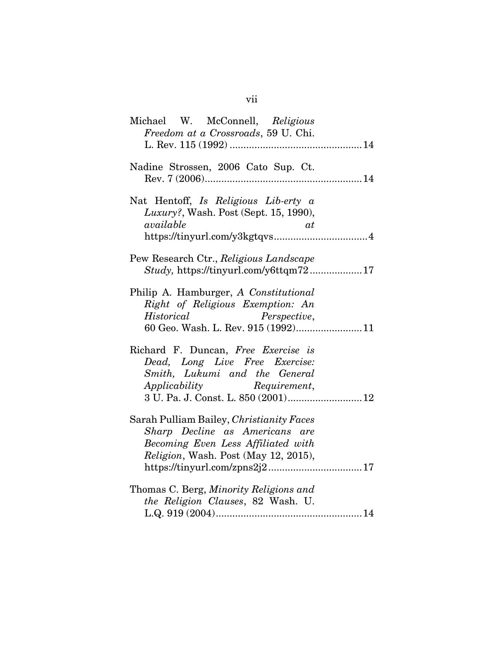| Michael W. McConnell, Religious<br>Freedom at a Crossroads, 59 U. Chi.                                                                                                      |
|-----------------------------------------------------------------------------------------------------------------------------------------------------------------------------|
| Nadine Strossen, 2006 Cato Sup. Ct.                                                                                                                                         |
| Nat Hentoff, Is Religious Lib-erty a<br><i>Luxury?</i> , Wash. Post (Sept. 15, 1990),<br>available<br>αt                                                                    |
| Pew Research Ctr., Religious Landscape<br>Study, https://tinyurl.com/y6ttqm7217                                                                                             |
| Philip A. Hamburger, A Constitutional<br>Right of Religious Exemption: An<br>Perspective,<br>Historical<br>60 Geo. Wash. L. Rev. 915 (1992)11                               |
| Richard F. Duncan, Free Exercise is<br>Dead, Long Live Free Exercise:<br>Smith, Lukumi and the General<br>Applicability Requirement,<br>3 U. Pa. J. Const. L. 850 (2001) 12 |
| Sarah Pulliam Bailey, Christianity Faces<br>Sharp Decline as Americans are<br>Becoming Even Less Affiliated with<br>Religion, Wash. Post (May 12, 2015),                    |
| Thomas C. Berg, Minority Religions and<br>the Religion Clauses, 82 Wash. U.                                                                                                 |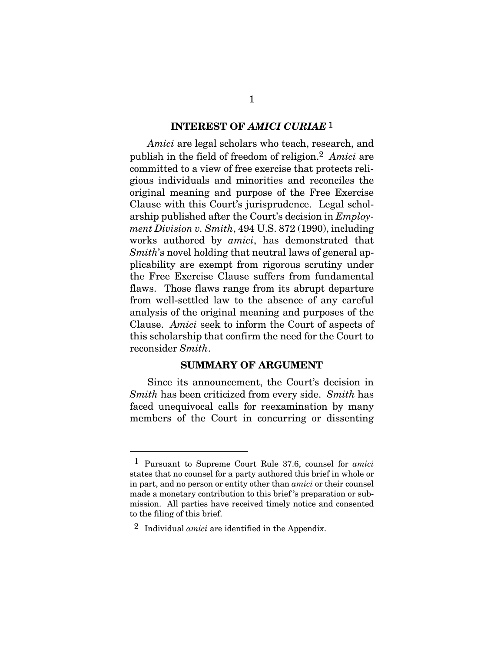#### **INTEREST OF** *AMICI CURIAE* 1

*Amici* are legal scholars who teach, research, and publish in the field of freedom of religion.2 *Amici* are committed to a view of free exercise that protects religious individuals and minorities and reconciles the original meaning and purpose of the Free Exercise Clause with this Court's jurisprudence. Legal scholarship published after the Court's decision in *Employment Division v. Smith*, 494 U.S. 872 (1990), including works authored by *amici*, has demonstrated that *Smith*'s novel holding that neutral laws of general applicability are exempt from rigorous scrutiny under the Free Exercise Clause suffers from fundamental flaws. Those flaws range from its abrupt departure from well-settled law to the absence of any careful analysis of the original meaning and purposes of the Clause. *Amici* seek to inform the Court of aspects of this scholarship that confirm the need for the Court to reconsider *Smith*.

#### **SUMMARY OF ARGUMENT**

Since its announcement, the Court's decision in *Smith* has been criticized from every side. *Smith* has faced unequivocal calls for reexamination by many members of the Court in concurring or dissenting

 $\overline{a}$ 

<sup>1</sup> Pursuant to Supreme Court Rule 37.6, counsel for *amici*  states that no counsel for a party authored this brief in whole or in part, and no person or entity other than *amici* or their counsel made a monetary contribution to this brief 's preparation or submission. All parties have received timely notice and consented to the filing of this brief.

<sup>2</sup> Individual *amici* are identified in the Appendix.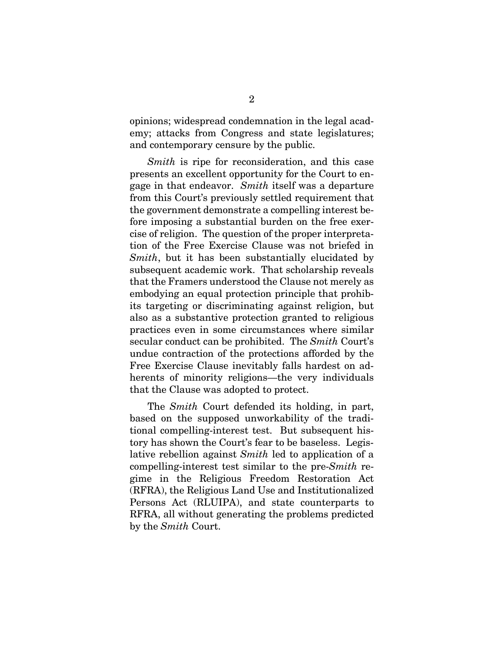opinions; widespread condemnation in the legal academy; attacks from Congress and state legislatures; and contemporary censure by the public.

*Smith* is ripe for reconsideration, and this case presents an excellent opportunity for the Court to engage in that endeavor. *Smith* itself was a departure from this Court's previously settled requirement that the government demonstrate a compelling interest before imposing a substantial burden on the free exercise of religion. The question of the proper interpretation of the Free Exercise Clause was not briefed in *Smith*, but it has been substantially elucidated by subsequent academic work. That scholarship reveals that the Framers understood the Clause not merely as embodying an equal protection principle that prohibits targeting or discriminating against religion, but also as a substantive protection granted to religious practices even in some circumstances where similar secular conduct can be prohibited. The *Smith* Court's undue contraction of the protections afforded by the Free Exercise Clause inevitably falls hardest on adherents of minority religions—the very individuals that the Clause was adopted to protect.

The *Smith* Court defended its holding, in part, based on the supposed unworkability of the traditional compelling-interest test. But subsequent history has shown the Court's fear to be baseless. Legislative rebellion against *Smith* led to application of a compelling-interest test similar to the pre-*Smith* regime in the Religious Freedom Restoration Act (RFRA), the Religious Land Use and Institutionalized Persons Act (RLUIPA), and state counterparts to RFRA, all without generating the problems predicted by the *Smith* Court.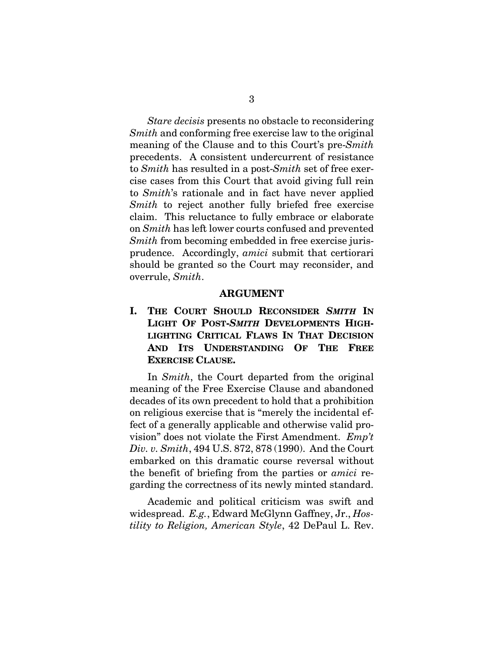*Stare decisis* presents no obstacle to reconsidering *Smith* and conforming free exercise law to the original meaning of the Clause and to this Court's pre-*Smith* precedents. A consistent undercurrent of resistance to *Smith* has resulted in a post-*Smith* set of free exercise cases from this Court that avoid giving full rein to *Smith*'s rationale and in fact have never applied *Smith* to reject another fully briefed free exercise claim. This reluctance to fully embrace or elaborate on *Smith* has left lower courts confused and prevented *Smith* from becoming embedded in free exercise jurisprudence. Accordingly, *amici* submit that certiorari should be granted so the Court may reconsider, and overrule, *Smith*.

#### **ARGUMENT**

**I. THE COURT SHOULD RECONSIDER** *SMITH* **IN LIGHT OF POST-***SMITH* **DEVELOPMENTS HIGH-LIGHTING CRITICAL FLAWS IN THAT DECISION AND ITS UNDERSTANDING OF THE FREE EXERCISE CLAUSE.**

In *Smith*, the Court departed from the original meaning of the Free Exercise Clause and abandoned decades of its own precedent to hold that a prohibition on religious exercise that is "merely the incidental effect of a generally applicable and otherwise valid provision" does not violate the First Amendment. *Emp't Div. v. Smith*, 494 U.S. 872, 878 (1990). And the Court embarked on this dramatic course reversal without the benefit of briefing from the parties or *amici* regarding the correctness of its newly minted standard.

Academic and political criticism was swift and widespread. *E.g.*, Edward McGlynn Gaffney, Jr., *Hostility to Religion, American Style*, 42 DePaul L. Rev.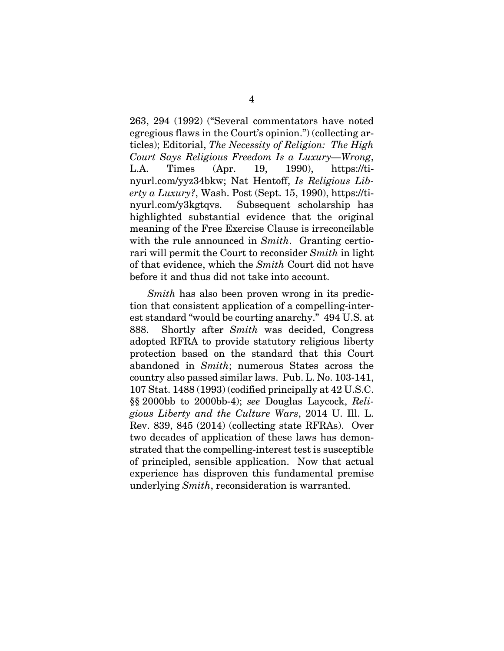263, 294 (1992) ("Several commentators have noted egregious flaws in the Court's opinion.") (collecting articles); Editorial, *The Necessity of Religion: The High Court Says Religious Freedom Is a Luxury—Wrong*, L.A. Times (Apr. 19, 1990), https://tinyurl.com/yyz34bkw; Nat Hentoff, *Is Religious Liberty a Luxury?*, Wash. Post (Sept. 15, 1990), https://tinyurl.com/y3kgtqvs. Subsequent scholarship has highlighted substantial evidence that the original meaning of the Free Exercise Clause is irreconcilable with the rule announced in *Smith*. Granting certiorari will permit the Court to reconsider *Smith* in light of that evidence, which the *Smith* Court did not have before it and thus did not take into account.

*Smith* has also been proven wrong in its prediction that consistent application of a compelling-interest standard "would be courting anarchy." 494 U.S. at 888. Shortly after *Smith* was decided, Congress adopted RFRA to provide statutory religious liberty protection based on the standard that this Court abandoned in *Smith*; numerous States across the country also passed similar laws. Pub. L. No. 103-141, 107 Stat. 1488 (1993) (codified principally at 42 U.S.C. §§ 2000bb to 2000bb-4); *see* Douglas Laycock, *Religious Liberty and the Culture Wars*, 2014 U. Ill. L. Rev. 839, 845 (2014) (collecting state RFRAs). Over two decades of application of these laws has demonstrated that the compelling-interest test is susceptible of principled, sensible application. Now that actual experience has disproven this fundamental premise underlying *Smith*, reconsideration is warranted.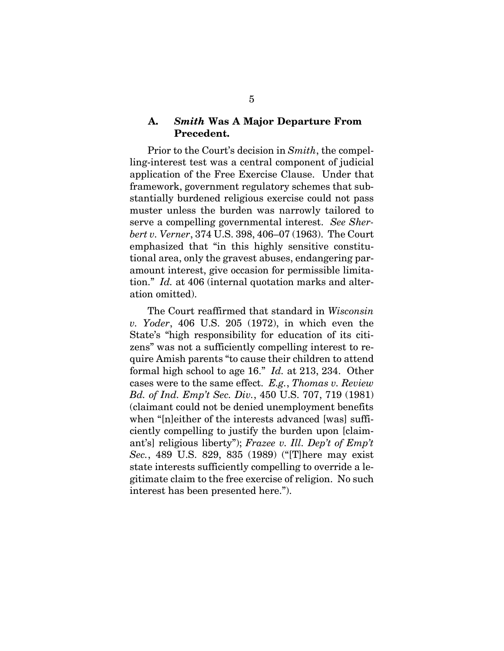### **A.** *Smith* **Was A Major Departure From Precedent.**

Prior to the Court's decision in *Smith*, the compelling-interest test was a central component of judicial application of the Free Exercise Clause. Under that framework, government regulatory schemes that substantially burdened religious exercise could not pass muster unless the burden was narrowly tailored to serve a compelling governmental interest. *See Sherbert v. Verner*, 374 U.S. 398, 406–07 (1963). The Court emphasized that "in this highly sensitive constitutional area, only the gravest abuses, endangering paramount interest, give occasion for permissible limitation." *Id.* at 406 (internal quotation marks and alteration omitted).

The Court reaffirmed that standard in *Wisconsin v. Yoder*, 406 U.S. 205 (1972), in which even the State's "high responsibility for education of its citizens" was not a sufficiently compelling interest to require Amish parents "to cause their children to attend formal high school to age 16." *Id.* at 213, 234. Other cases were to the same effect. *E.g.*, *Thomas v. Review Bd. of Ind. Emp't Sec. Div.*, 450 U.S. 707, 719 (1981) (claimant could not be denied unemployment benefits when "[n]either of the interests advanced [was] sufficiently compelling to justify the burden upon [claimant's] religious liberty"); *Frazee v. Ill. Dep't of Emp't Sec.*, 489 U.S. 829, 835 (1989) ("[T]here may exist state interests sufficiently compelling to override a legitimate claim to the free exercise of religion. No such interest has been presented here.").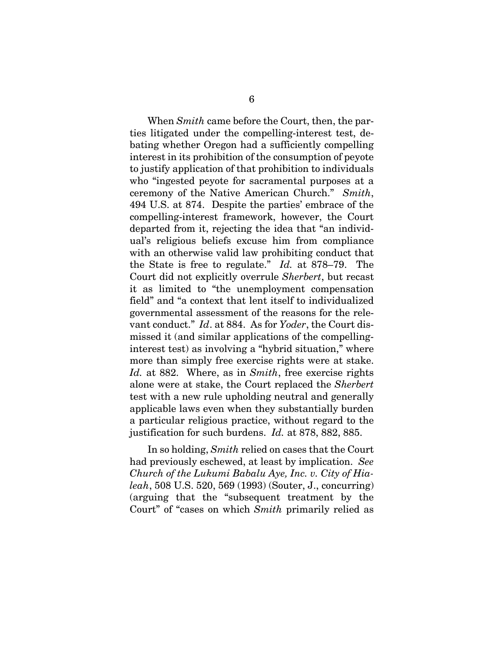When *Smith* came before the Court, then, the parties litigated under the compelling-interest test, debating whether Oregon had a sufficiently compelling interest in its prohibition of the consumption of peyote to justify application of that prohibition to individuals who "ingested peyote for sacramental purposes at a ceremony of the Native American Church." *Smith*, 494 U.S. at 874.Despite the parties' embrace of the compelling-interest framework, however, the Court departed from it, rejecting the idea that "an individual's religious beliefs excuse him from compliance with an otherwise valid law prohibiting conduct that the State is free to regulate." *Id.* at 878–79. The Court did not explicitly overrule *Sherbert*, but recast it as limited to "the unemployment compensation field" and "a context that lent itself to individualized governmental assessment of the reasons for the relevant conduct." *Id*. at 884. As for *Yoder*, the Court dismissed it (and similar applications of the compellinginterest test) as involving a "hybrid situation," where more than simply free exercise rights were at stake. *Id.* at 882. Where, as in *Smith*, free exercise rights alone were at stake, the Court replaced the *Sherbert* test with a new rule upholding neutral and generally applicable laws even when they substantially burden a particular religious practice, without regard to the justification for such burdens. *Id.* at 878, 882, 885.

In so holding, *Smith* relied on cases that the Court had previously eschewed, at least by implication. *See Church of the Lukumi Babalu Aye, Inc. v. City of Hialeah*, 508 U.S. 520, 569 (1993) (Souter, J., concurring) (arguing that the "subsequent treatment by the Court" of "cases on which *Smith* primarily relied as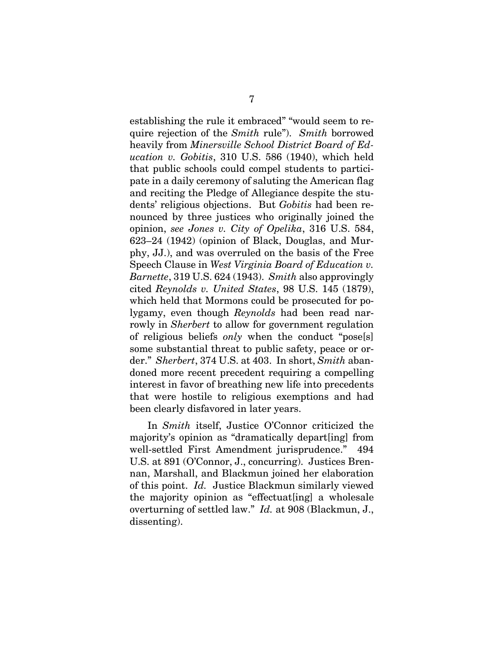establishing the rule it embraced" "would seem to require rejection of the *Smith* rule"). *Smith* borrowed heavily from *Minersville School District Board of Education v. Gobitis*, 310 U.S. 586 (1940), which held that public schools could compel students to participate in a daily ceremony of saluting the American flag and reciting the Pledge of Allegiance despite the students' religious objections. But *Gobitis* had been renounced by three justices who originally joined the opinion, *see Jones v. City of Opelika*, 316 U.S. 584, 623–24 (1942) (opinion of Black, Douglas, and Murphy, JJ.), and was overruled on the basis of the Free Speech Clause in *West Virginia Board of Education v. Barnette*, 319 U.S. 624 (1943). *Smith* also approvingly cited *Reynolds v. United States*, 98 U.S. 145 (1879), which held that Mormons could be prosecuted for polygamy, even though *Reynolds* had been read narrowly in *Sherbert* to allow for government regulation of religious beliefs *only* when the conduct "pose[s] some substantial threat to public safety, peace or order." *Sherbert*, 374 U.S. at 403. In short, *Smith* abandoned more recent precedent requiring a compelling interest in favor of breathing new life into precedents that were hostile to religious exemptions and had been clearly disfavored in later years.

In *Smith* itself, Justice O'Connor criticized the majority's opinion as "dramatically depart[ing] from well-settled First Amendment jurisprudence." 494 U.S. at 891 (O'Connor, J., concurring). Justices Brennan, Marshall, and Blackmun joined her elaboration of this point. *Id.* Justice Blackmun similarly viewed the majority opinion as "effectuat[ing] a wholesale overturning of settled law." *Id.* at 908 (Blackmun, J., dissenting).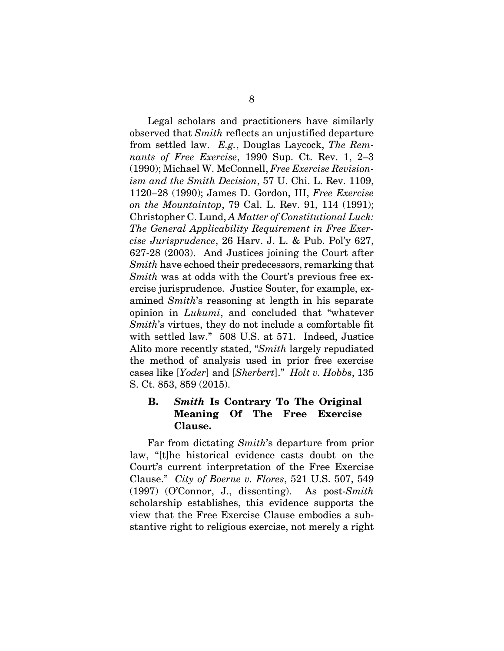Legal scholars and practitioners have similarly observed that *Smith* reflects an unjustified departure from settled law. *E.g.*, Douglas Laycock, *The Remnants of Free Exercise*, 1990 Sup. Ct. Rev. 1, 2–3 (1990); Michael W. McConnell, *Free Exercise Revisionism and the Smith Decision*, 57 U. Chi. L. Rev. 1109, 1120–28 (1990); James D. Gordon, III, *Free Exercise on the Mountaintop*, 79 Cal. L. Rev. 91, 114 (1991); Christopher C. Lund, *A Matter of Constitutional Luck: The General Applicability Requirement in Free Exercise Jurisprudence*, 26 Harv. J. L. & Pub. Pol'y 627, 627-28 (2003). And Justices joining the Court after *Smith* have echoed their predecessors, remarking that *Smith* was at odds with the Court's previous free exercise jurisprudence. Justice Souter, for example, examined *Smith*'s reasoning at length in his separate opinion in *Lukumi*, and concluded that "whatever *Smith*'s virtues, they do not include a comfortable fit with settled law." 508 U.S. at 571. Indeed, Justice Alito more recently stated, "*Smith* largely repudiated the method of analysis used in prior free exercise cases like [*Yoder*] and [*Sherbert*]." *Holt v. Hobbs*, 135 S. Ct. 853, 859 (2015).

## **B.** *Smith* **Is Contrary To The Original Meaning Of The Free Exercise Clause.**

Far from dictating *Smith*'s departure from prior law, "[t]he historical evidence casts doubt on the Court's current interpretation of the Free Exercise Clause." *City of Boerne v. Flores*, 521 U.S. 507, 549 (1997) (O'Connor, J., dissenting). As post-*Smith* scholarship establishes, this evidence supports the view that the Free Exercise Clause embodies a substantive right to religious exercise, not merely a right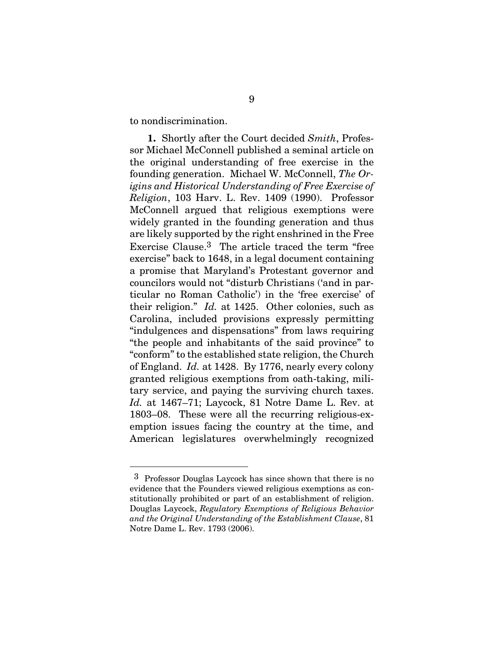to nondiscrimination.

 $\overline{a}$ 

**1.** Shortly after the Court decided *Smith*, Professor Michael McConnell published a seminal article on the original understanding of free exercise in the founding generation. Michael W. McConnell, *The Origins and Historical Understanding of Free Exercise of Religion*, 103 Harv. L. Rev. 1409 (1990). Professor McConnell argued that religious exemptions were widely granted in the founding generation and thus are likely supported by the right enshrined in the Free Exercise Clause.3 The article traced the term "free exercise" back to 1648, in a legal document containing a promise that Maryland's Protestant governor and councilors would not "disturb Christians ('and in particular no Roman Catholic') in the 'free exercise' of their religion." *Id.* at 1425. Other colonies, such as Carolina, included provisions expressly permitting "indulgences and dispensations" from laws requiring "the people and inhabitants of the said province" to "conform" to the established state religion, the Church of England. *Id.* at 1428. By 1776, nearly every colony granted religious exemptions from oath-taking, military service, and paying the surviving church taxes. *Id.* at 1467–71; Laycock, 81 Notre Dame L. Rev. at 1803–08. These were all the recurring religious-exemption issues facing the country at the time, and American legislatures overwhelmingly recognized

<sup>3</sup> Professor Douglas Laycock has since shown that there is no evidence that the Founders viewed religious exemptions as constitutionally prohibited or part of an establishment of religion. Douglas Laycock, *Regulatory Exemptions of Religious Behavior and the Original Understanding of the Establishment Clause*, 81 Notre Dame L. Rev. 1793 (2006).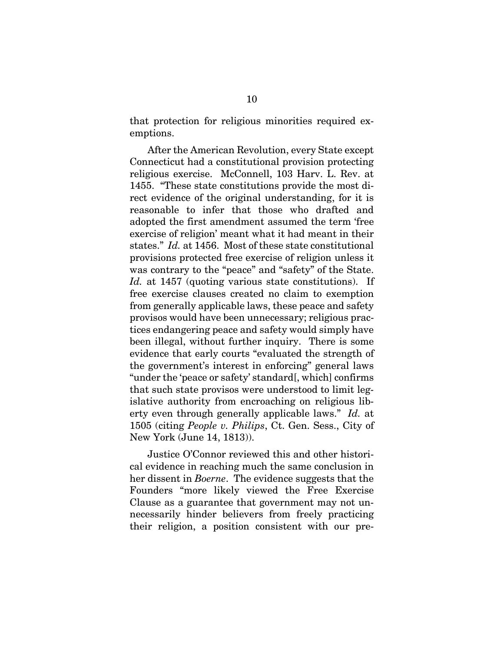that protection for religious minorities required exemptions.

After the American Revolution, every State except Connecticut had a constitutional provision protecting religious exercise. McConnell, 103 Harv. L. Rev. at 1455. "These state constitutions provide the most direct evidence of the original understanding, for it is reasonable to infer that those who drafted and adopted the first amendment assumed the term 'free exercise of religion' meant what it had meant in their states." *Id.* at 1456. Most of these state constitutional provisions protected free exercise of religion unless it was contrary to the "peace" and "safety" of the State. *Id.* at 1457 (quoting various state constitutions). If free exercise clauses created no claim to exemption from generally applicable laws, these peace and safety provisos would have been unnecessary; religious practices endangering peace and safety would simply have been illegal, without further inquiry. There is some evidence that early courts "evaluated the strength of the government's interest in enforcing" general laws "under the 'peace or safety' standard[, which] confirms that such state provisos were understood to limit legislative authority from encroaching on religious liberty even through generally applicable laws." *Id.* at 1505 (citing *People v. Philips*, Ct. Gen. Sess., City of New York (June 14, 1813)).

Justice O'Connor reviewed this and other historical evidence in reaching much the same conclusion in her dissent in *Boerne*. The evidence suggests that the Founders "more likely viewed the Free Exercise Clause as a guarantee that government may not unnecessarily hinder believers from freely practicing their religion, a position consistent with our pre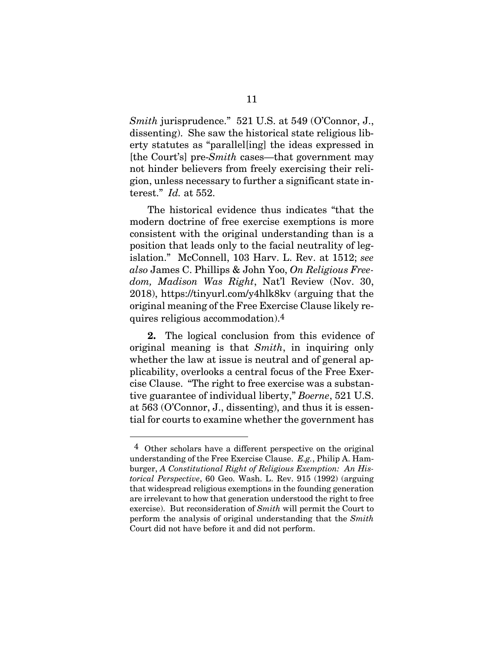*Smith* jurisprudence." 521 U.S. at 549 (O'Connor, J., dissenting). She saw the historical state religious liberty statutes as "parallel[ing] the ideas expressed in [the Court's] pre-*Smith* cases—that government may not hinder believers from freely exercising their religion, unless necessary to further a significant state interest." *Id.* at 552.

The historical evidence thus indicates "that the modern doctrine of free exercise exemptions is more consistent with the original understanding than is a position that leads only to the facial neutrality of legislation." McConnell, 103 Harv. L. Rev. at 1512; *see also* James C. Phillips & John Yoo, *On Religious Freedom, Madison Was Right*, Nat'l Review (Nov. 30, 2018), https://tinyurl.com/y4hlk8kv (arguing that the original meaning of the Free Exercise Clause likely requires religious accommodation).4

**2.** The logical conclusion from this evidence of original meaning is that *Smith*, in inquiring only whether the law at issue is neutral and of general applicability, overlooks a central focus of the Free Exercise Clause. "The right to free exercise was a substantive guarantee of individual liberty," *Boerne*, 521 U.S. at 563 (O'Connor, J., dissenting), and thus it is essential for courts to examine whether the government has

l

<sup>4</sup> Other scholars have a different perspective on the original understanding of the Free Exercise Clause. *E.g.*, Philip A. Hamburger, *A Constitutional Right of Religious Exemption: An Historical Perspective*, 60 Geo. Wash. L. Rev. 915 (1992) (arguing that widespread religious exemptions in the founding generation are irrelevant to how that generation understood the right to free exercise). But reconsideration of *Smith* will permit the Court to perform the analysis of original understanding that the *Smith* Court did not have before it and did not perform.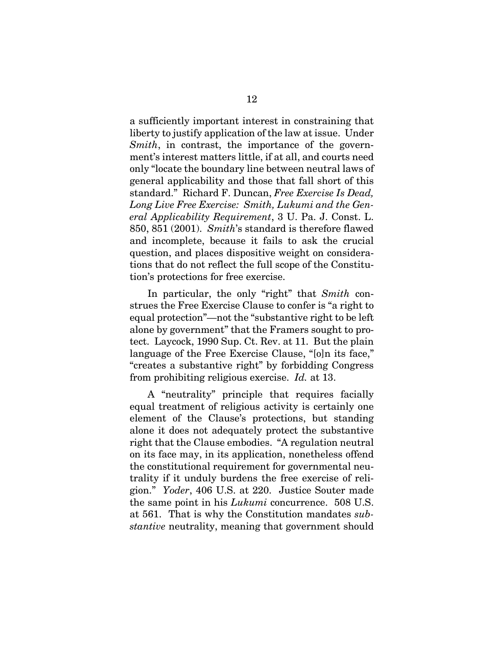a sufficiently important interest in constraining that liberty to justify application of the law at issue. Under *Smith*, in contrast, the importance of the government's interest matters little, if at all, and courts need only "locate the boundary line between neutral laws of general applicability and those that fall short of this standard." Richard F. Duncan, *Free Exercise Is Dead, Long Live Free Exercise: Smith, Lukumi and the General Applicability Requirement*, 3 U. Pa. J. Const. L. 850, 851 (2001). *Smith*'s standard is therefore flawed and incomplete, because it fails to ask the crucial question, and places dispositive weight on considerations that do not reflect the full scope of the Constitution's protections for free exercise.

In particular, the only "right" that *Smith* construes the Free Exercise Clause to confer is "a right to equal protection"—not the "substantive right to be left alone by government" that the Framers sought to protect. Laycock, 1990 Sup. Ct. Rev. at 11. But the plain language of the Free Exercise Clause, "[o]n its face," "creates a substantive right" by forbidding Congress from prohibiting religious exercise. *Id.* at 13.

A "neutrality" principle that requires facially equal treatment of religious activity is certainly one element of the Clause's protections, but standing alone it does not adequately protect the substantive right that the Clause embodies. "A regulation neutral on its face may, in its application, nonetheless offend the constitutional requirement for governmental neutrality if it unduly burdens the free exercise of religion." *Yoder*, 406 U.S. at 220. Justice Souter made the same point in his *Lukumi* concurrence. 508 U.S. at 561. That is why the Constitution mandates *substantive* neutrality, meaning that government should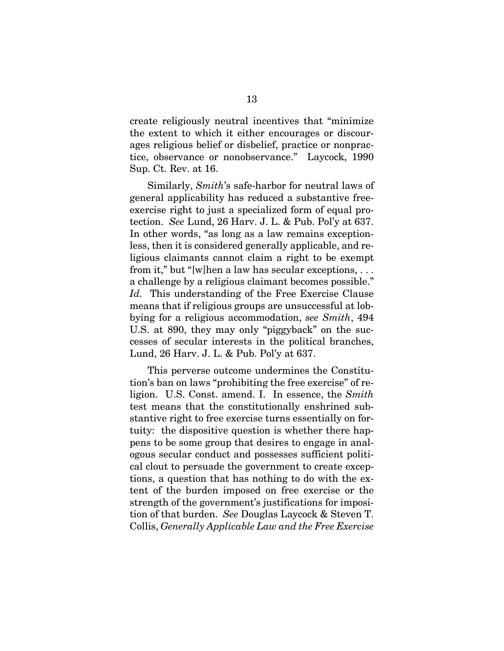create religiously neutral incentives that "minimize the extent to which it either encourages or discourages religious belief or disbelief, practice or nonpractice, observance or nonobservance." Laycock, 1990 Sup. Ct. Rev. at 16.

Similarly, *Smith*'s safe-harbor for neutral laws of general applicability has reduced a substantive freeexercise right to just a specialized form of equal protection. *See* Lund, 26 Harv. J. L. & Pub. Pol'y at 637. In other words, "as long as a law remains exceptionless, then it is considered generally applicable, and religious claimants cannot claim a right to be exempt from it," but "[w]hen a law has secular exceptions, . . . a challenge by a religious claimant becomes possible." *Id.* This understanding of the Free Exercise Clause means that if religious groups are unsuccessful at lobbying for a religious accommodation, *see Smith*, 494 U.S. at 890, they may only "piggyback" on the successes of secular interests in the political branches, Lund, 26 Harv. J. L. & Pub. Pol'y at 637.

This perverse outcome undermines the Constitution's ban on laws "prohibiting the free exercise" of religion. U.S. Const. amend. I. In essence, the *Smith* test means that the constitutionally enshrined substantive right to free exercise turns essentially on fortuity: the dispositive question is whether there happens to be some group that desires to engage in analogous secular conduct and possesses sufficient political clout to persuade the government to create exceptions, a question that has nothing to do with the extent of the burden imposed on free exercise or the strength of the government's justifications for imposition of that burden. *See* Douglas Laycock & Steven T. Collis, *Generally Applicable Law and the Free Exercise*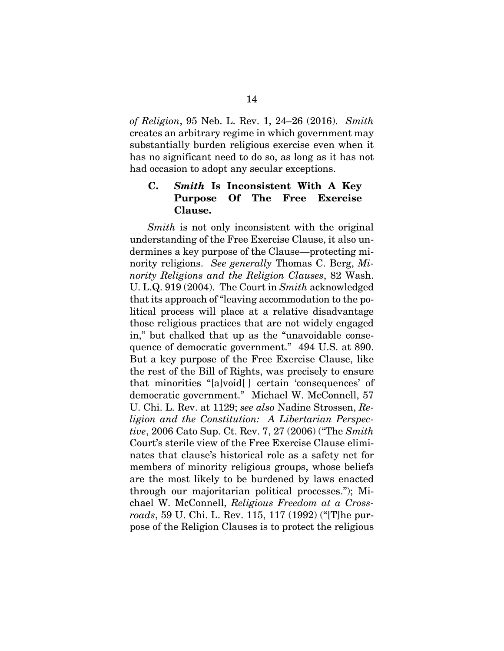*of Religion*, 95 Neb. L. Rev. 1, 24–26 (2016). *Smith*  creates an arbitrary regime in which government may substantially burden religious exercise even when it has no significant need to do so, as long as it has not had occasion to adopt any secular exceptions.

## **C.** *Smith* **Is Inconsistent With A Key Purpose Of The Free Exercise Clause.**

*Smith* is not only inconsistent with the original understanding of the Free Exercise Clause, it also undermines a key purpose of the Clause—protecting minority religions. *See generally* Thomas C. Berg, *Minority Religions and the Religion Clauses*, 82 Wash. U. L.Q. 919 (2004). The Court in *Smith* acknowledged that its approach of "leaving accommodation to the political process will place at a relative disadvantage those religious practices that are not widely engaged in," but chalked that up as the "unavoidable consequence of democratic government." 494 U.S. at 890. But a key purpose of the Free Exercise Clause, like the rest of the Bill of Rights, was precisely to ensure that minorities "[a]void[ ] certain 'consequences' of democratic government." Michael W. McConnell, 57 U. Chi. L. Rev. at 1129; *see also* Nadine Strossen, *Religion and the Constitution: A Libertarian Perspective*, 2006 Cato Sup. Ct. Rev. 7, 27 (2006) ("The *Smith* Court's sterile view of the Free Exercise Clause eliminates that clause's historical role as a safety net for members of minority religious groups, whose beliefs are the most likely to be burdened by laws enacted through our majoritarian political processes."); Michael W. McConnell, *Religious Freedom at a Crossroads*, 59 U. Chi. L. Rev. 115, 117 (1992) ("[T]he purpose of the Religion Clauses is to protect the religious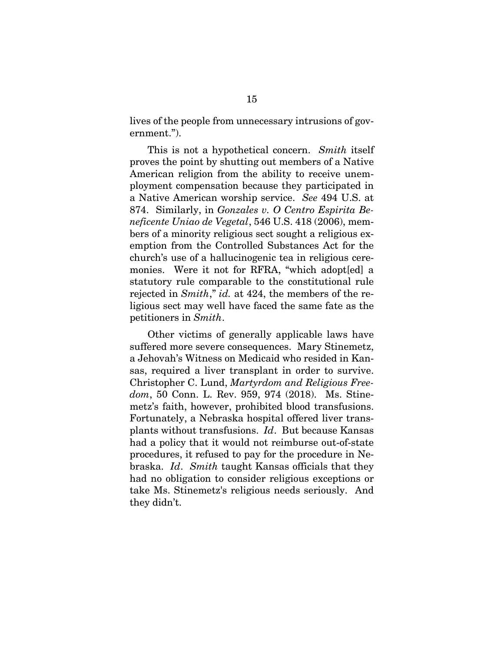lives of the people from unnecessary intrusions of government.").

This is not a hypothetical concern. *Smith* itself proves the point by shutting out members of a Native American religion from the ability to receive unemployment compensation because they participated in a Native American worship service. *See* 494 U.S. at 874. Similarly, in *Gonzales v. O Centro Espirita Beneficente Uniao de Vegetal*, 546 U.S. 418 (2006), members of a minority religious sect sought a religious exemption from the Controlled Substances Act for the church's use of a hallucinogenic tea in religious ceremonies. Were it not for RFRA, "which adopt[ed] a statutory rule comparable to the constitutional rule rejected in *Smith*," *id.* at 424, the members of the religious sect may well have faced the same fate as the petitioners in *Smith*.

Other victims of generally applicable laws have suffered more severe consequences. Mary Stinemetz, a Jehovah's Witness on Medicaid who resided in Kansas, required a liver transplant in order to survive. Christopher C. Lund, *Martyrdom and Religious Freedom*, 50 Conn. L. Rev. 959, 974 (2018). Ms. Stinemetz's faith, however, prohibited blood transfusions. Fortunately, a Nebraska hospital offered liver transplants without transfusions. *Id*. But because Kansas had a policy that it would not reimburse out-of-state procedures, it refused to pay for the procedure in Nebraska. *Id*. *Smith* taught Kansas officials that they had no obligation to consider religious exceptions or take Ms. Stinemetz's religious needs seriously. And they didn't.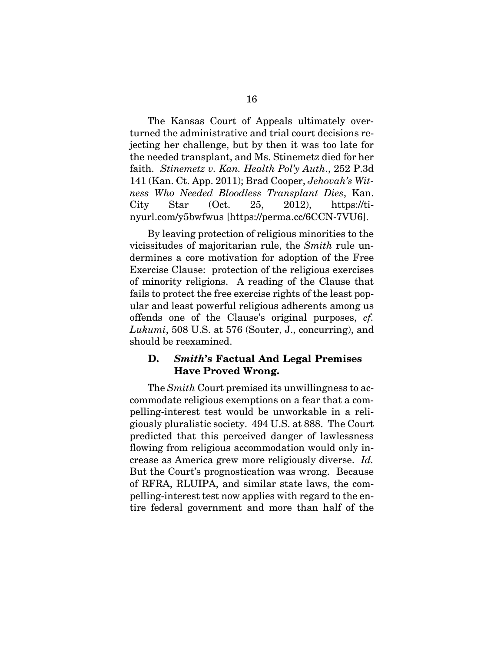The Kansas Court of Appeals ultimately overturned the administrative and trial court decisions rejecting her challenge, but by then it was too late for the needed transplant, and Ms. Stinemetz died for her faith. *Stinemetz v. Kan. Health Pol'y Auth*., 252 P.3d 141 (Kan. Ct. App. 2011); Brad Cooper, *Jehovah's Witness Who Needed Bloodless Transplant Dies*, Kan. City Star (Oct. 25, 2012), https://tinyurl.com/y5bwfwus [https://perma.cc/6CCN-7VU6].

By leaving protection of religious minorities to the vicissitudes of majoritarian rule, the *Smith* rule undermines a core motivation for adoption of the Free Exercise Clause: protection of the religious exercises of minority religions. A reading of the Clause that fails to protect the free exercise rights of the least popular and least powerful religious adherents among us offends one of the Clause's original purposes, *cf. Lukumi*, 508 U.S. at 576 (Souter, J., concurring), and should be reexamined.

## **D.** *Smith***'s Factual And Legal Premises Have Proved Wrong.**

The *Smith* Court premised its unwillingness to accommodate religious exemptions on a fear that a compelling-interest test would be unworkable in a religiously pluralistic society. 494 U.S. at 888. The Court predicted that this perceived danger of lawlessness flowing from religious accommodation would only increase as America grew more religiously diverse. *Id.* But the Court's prognostication was wrong. Because of RFRA, RLUIPA, and similar state laws, the compelling-interest test now applies with regard to the entire federal government and more than half of the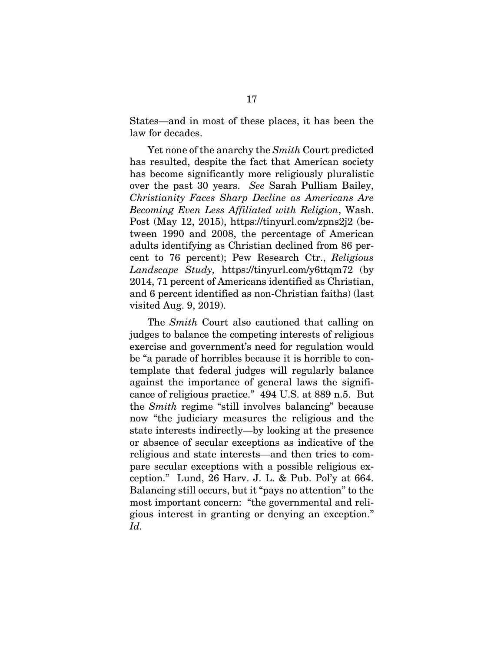States—and in most of these places, it has been the law for decades.

Yet none of the anarchy the *Smith* Court predicted has resulted, despite the fact that American society has become significantly more religiously pluralistic over the past 30 years. *See* Sarah Pulliam Bailey, *Christianity Faces Sharp Decline as Americans Are Becoming Even Less Affiliated with Religion*, Wash. Post (May 12, 2015), https://tinyurl.com/zpns2j2 (between 1990 and 2008, the percentage of American adults identifying as Christian declined from 86 percent to 76 percent); Pew Research Ctr., *Religious Landscape Study,* https://tinyurl.com/y6ttqm72 (by 2014, 71 percent of Americans identified as Christian, and 6 percent identified as non-Christian faiths) (last visited Aug. 9, 2019).

The *Smith* Court also cautioned that calling on judges to balance the competing interests of religious exercise and government's need for regulation would be "a parade of horribles because it is horrible to contemplate that federal judges will regularly balance against the importance of general laws the significance of religious practice." 494 U.S. at 889 n.5. But the *Smith* regime "still involves balancing" because now "the judiciary measures the religious and the state interests indirectly—by looking at the presence or absence of secular exceptions as indicative of the religious and state interests—and then tries to compare secular exceptions with a possible religious exception." Lund, 26 Harv. J. L. & Pub. Pol'y at 664. Balancing still occurs, but it "pays no attention" to the most important concern: "the governmental and religious interest in granting or denying an exception." *Id.*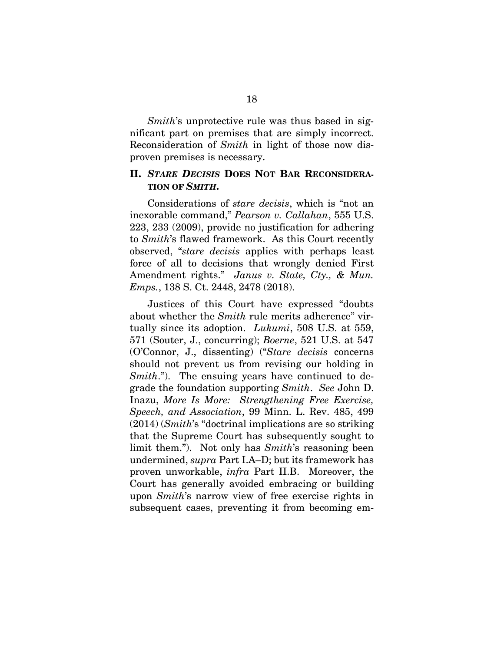*Smith*'s unprotective rule was thus based in significant part on premises that are simply incorrect. Reconsideration of *Smith* in light of those now disproven premises is necessary.

### **II.** *STARE DECISIS* **DOES NOT BAR RECONSIDERA-TION OF** *SMITH***.**

Considerations of *stare decisis*, which is "not an inexorable command," *Pearson v. Callahan*, 555 U.S. 223, 233 (2009), provide no justification for adhering to *Smith*'s flawed framework. As this Court recently observed, "*stare decisis* applies with perhaps least force of all to decisions that wrongly denied First Amendment rights." *Janus v. State, Cty., & Mun. Emps.*, 138 S. Ct. 2448, 2478 (2018).

Justices of this Court have expressed "doubts about whether the *Smith* rule merits adherence" virtually since its adoption. *Lukumi*, 508 U.S. at 559, 571 (Souter, J., concurring); *Boerne*, 521 U.S. at 547 (O'Connor, J., dissenting) ("*Stare decisis* concerns should not prevent us from revising our holding in *Smith.*"). The ensuing years have continued to degrade the foundation supporting *Smith*. *See* John D. Inazu, *More Is More: Strengthening Free Exercise, Speech, and Association*, 99 Minn. L. Rev. 485, 499 (2014) (*Smith*'s "doctrinal implications are so striking that the Supreme Court has subsequently sought to limit them."). Not only has *Smith*'s reasoning been undermined, *supra* Part I.A–D; but its framework has proven unworkable, *infra* Part II.B. Moreover, the Court has generally avoided embracing or building upon *Smith*'s narrow view of free exercise rights in subsequent cases, preventing it from becoming em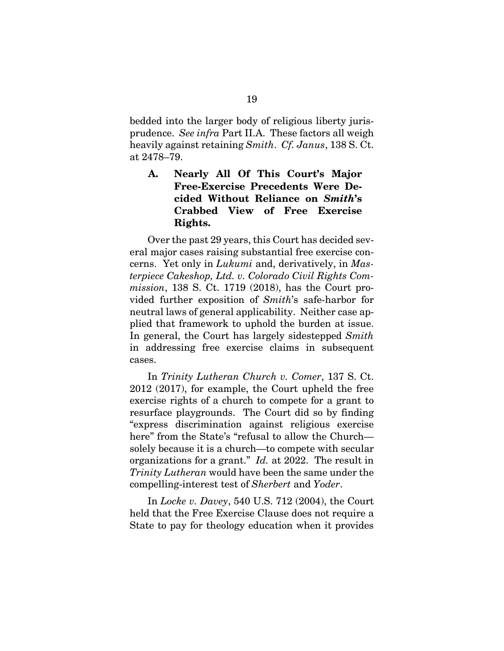bedded into the larger body of religious liberty jurisprudence. *See infra* Part II.A. These factors all weigh heavily against retaining *Smith*. *Cf. Janus*, 138 S. Ct. at 2478–79.

# **A. Nearly All Of This Court's Major Free-Exercise Precedents Were Decided Without Reliance on** *Smith***'s Crabbed View of Free Exercise Rights.**

Over the past 29 years, this Court has decided several major cases raising substantial free exercise concerns. Yet only in *Lukumi* and, derivatively, in *Masterpiece Cakeshop, Ltd. v. Colorado Civil Rights Commission*, 138 S. Ct. 1719 (2018), has the Court provided further exposition of *Smith*'s safe-harbor for neutral laws of general applicability. Neither case applied that framework to uphold the burden at issue. In general, the Court has largely sidestepped *Smith*  in addressing free exercise claims in subsequent cases.

In *Trinity Lutheran Church v. Comer*, 137 S. Ct. 2012 (2017), for example, the Court upheld the free exercise rights of a church to compete for a grant to resurface playgrounds. The Court did so by finding "express discrimination against religious exercise here" from the State's "refusal to allow the Church solely because it is a church—to compete with secular organizations for a grant." *Id.* at 2022. The result in *Trinity Lutheran* would have been the same under the compelling-interest test of *Sherbert* and *Yoder*.

In *Locke v. Davey*, 540 U.S. 712 (2004), the Court held that the Free Exercise Clause does not require a State to pay for theology education when it provides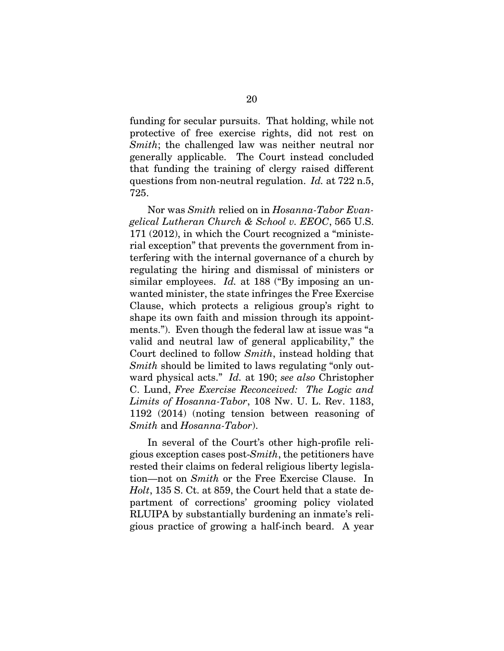funding for secular pursuits. That holding, while not protective of free exercise rights, did not rest on *Smith*; the challenged law was neither neutral nor generally applicable. The Court instead concluded that funding the training of clergy raised different questions from non-neutral regulation. *Id.* at 722 n.5, 725.

Nor was *Smith* relied on in *Hosanna-Tabor Evangelical Lutheran Church & School v. EEOC*, 565 U.S. 171 (2012), in which the Court recognized a "ministerial exception" that prevents the government from interfering with the internal governance of a church by regulating the hiring and dismissal of ministers or similar employees. *Id.* at 188 ("By imposing an unwanted minister, the state infringes the Free Exercise Clause, which protects a religious group's right to shape its own faith and mission through its appointments."). Even though the federal law at issue was "a valid and neutral law of general applicability," the Court declined to follow *Smith*, instead holding that *Smith* should be limited to laws regulating "only outward physical acts." *Id.* at 190; *see also* Christopher C. Lund, *Free Exercise Reconceived: The Logic and Limits of Hosanna-Tabor*, 108 Nw. U. L. Rev. 1183, 1192 (2014) (noting tension between reasoning of *Smith* and *Hosanna-Tabor*).

In several of the Court's other high-profile religious exception cases post-*Smith*, the petitioners have rested their claims on federal religious liberty legislation—not on *Smith* or the Free Exercise Clause. In *Holt*, 135 S. Ct. at 859, the Court held that a state department of corrections' grooming policy violated RLUIPA by substantially burdening an inmate's religious practice of growing a half-inch beard. A year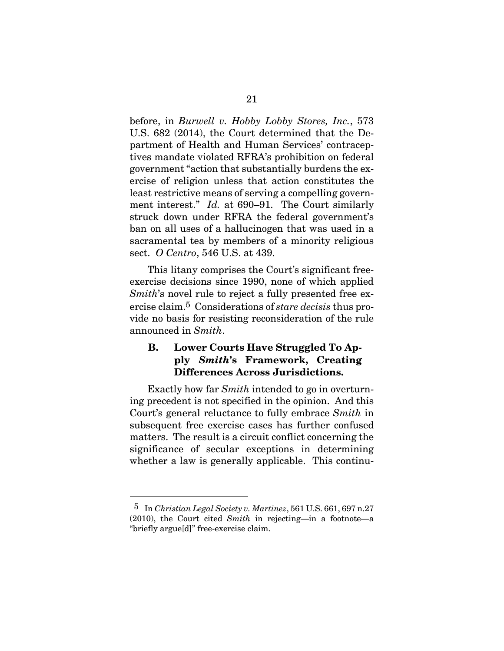before, in *Burwell v. Hobby Lobby Stores, Inc.*, 573 U.S. 682 (2014), the Court determined that the Department of Health and Human Services' contraceptives mandate violated RFRA's prohibition on federal government "action that substantially burdens the exercise of religion unless that action constitutes the least restrictive means of serving a compelling government interest." *Id.* at 690–91. The Court similarly struck down under RFRA the federal government's ban on all uses of a hallucinogen that was used in a sacramental tea by members of a minority religious sect. *O Centro*, 546 U.S. at 439.

This litany comprises the Court's significant freeexercise decisions since 1990, none of which applied *Smith*'s novel rule to reject a fully presented free exercise claim.5 Considerations of *stare decisis* thus provide no basis for resisting reconsideration of the rule announced in *Smith*.

## **B. Lower Courts Have Struggled To Apply** *Smith***'s Framework, Creating Differences Across Jurisdictions.**

Exactly how far *Smith* intended to go in overturning precedent is not specified in the opinion. And this Court's general reluctance to fully embrace *Smith* in subsequent free exercise cases has further confused matters. The result is a circuit conflict concerning the significance of secular exceptions in determining whether a law is generally applicable. This continu-

 $\overline{a}$ 

<sup>5</sup> In *Christian Legal Society v. Martinez*, 561 U.S. 661, 697 n.27 (2010), the Court cited *Smith* in rejecting—in a footnote—a "briefly argue[d]" free-exercise claim.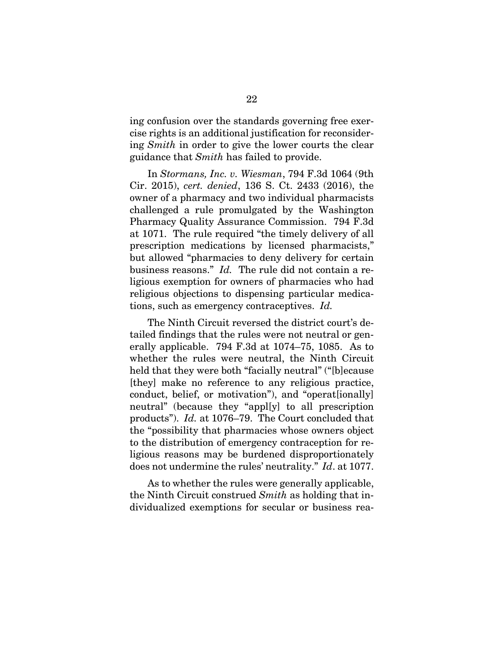ing confusion over the standards governing free exercise rights is an additional justification for reconsidering *Smith* in order to give the lower courts the clear guidance that *Smith* has failed to provide.

In *Stormans, Inc. v. Wiesman*, 794 F.3d 1064 (9th Cir. 2015), *cert. denied*, 136 S. Ct. 2433 (2016), the owner of a pharmacy and two individual pharmacists challenged a rule promulgated by the Washington Pharmacy Quality Assurance Commission. 794 F.3d at 1071. The rule required "the timely delivery of all prescription medications by licensed pharmacists," but allowed "pharmacies to deny delivery for certain business reasons." *Id.* The rule did not contain a religious exemption for owners of pharmacies who had religious objections to dispensing particular medications, such as emergency contraceptives. *Id.*

The Ninth Circuit reversed the district court's detailed findings that the rules were not neutral or generally applicable. 794 F.3d at 1074–75, 1085. As to whether the rules were neutral, the Ninth Circuit held that they were both "facially neutral" ("[b]ecause [they] make no reference to any religious practice, conduct, belief, or motivation"), and "operat[ionally] neutral" (because they "appl[y] to all prescription products"). *Id.* at 1076–79. The Court concluded that the "possibility that pharmacies whose owners object to the distribution of emergency contraception for religious reasons may be burdened disproportionately does not undermine the rules' neutrality." *Id*. at 1077.

As to whether the rules were generally applicable, the Ninth Circuit construed *Smith* as holding that individualized exemptions for secular or business rea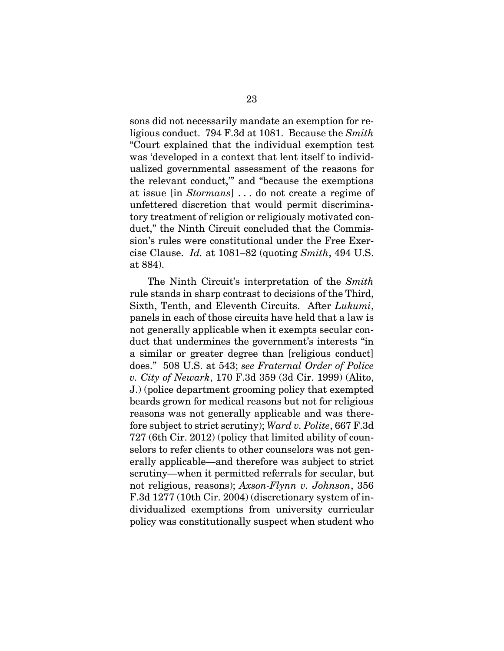sons did not necessarily mandate an exemption for religious conduct. 794 F.3d at 1081. Because the *Smith* "Court explained that the individual exemption test was 'developed in a context that lent itself to individualized governmental assessment of the reasons for the relevant conduct,'" and "because the exemptions at issue [in *Stormans*] . . . do not create a regime of unfettered discretion that would permit discriminatory treatment of religion or religiously motivated conduct," the Ninth Circuit concluded that the Commission's rules were constitutional under the Free Exercise Clause. *Id.* at 1081–82 (quoting *Smith*, 494 U.S. at 884).

The Ninth Circuit's interpretation of the *Smith* rule stands in sharp contrast to decisions of the Third, Sixth, Tenth, and Eleventh Circuits. After *Lukumi*, panels in each of those circuits have held that a law is not generally applicable when it exempts secular conduct that undermines the government's interests "in a similar or greater degree than [religious conduct] does." 508 U.S. at 543; *see Fraternal Order of Police v. City of Newark*, 170 F.3d 359 (3d Cir. 1999) (Alito, J.) (police department grooming policy that exempted beards grown for medical reasons but not for religious reasons was not generally applicable and was therefore subject to strict scrutiny); *Ward v. Polite*, 667 F.3d 727 (6th Cir. 2012) (policy that limited ability of counselors to refer clients to other counselors was not generally applicable—and therefore was subject to strict scrutiny—when it permitted referrals for secular, but not religious, reasons); *Axson-Flynn v. Johnson*, 356 F.3d 1277 (10th Cir. 2004) (discretionary system of individualized exemptions from university curricular policy was constitutionally suspect when student who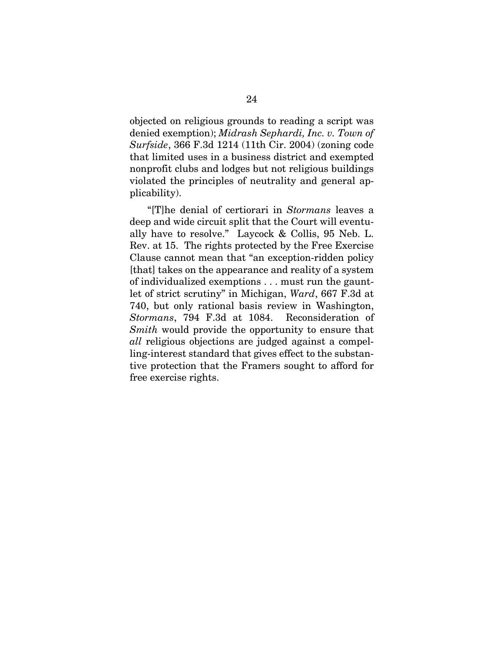objected on religious grounds to reading a script was denied exemption); *Midrash Sephardi, Inc. v. Town of Surfside*, 366 F.3d 1214 (11th Cir. 2004) (zoning code that limited uses in a business district and exempted nonprofit clubs and lodges but not religious buildings violated the principles of neutrality and general applicability).

"[T]he denial of certiorari in *Stormans* leaves a deep and wide circuit split that the Court will eventually have to resolve." Laycock & Collis, 95 Neb. L. Rev. at 15. The rights protected by the Free Exercise Clause cannot mean that "an exception-ridden policy [that] takes on the appearance and reality of a system of individualized exemptions . . . must run the gauntlet of strict scrutiny" in Michigan, *Ward*, 667 F.3d at 740, but only rational basis review in Washington, *Stormans*, 794 F.3d at 1084. Reconsideration of *Smith* would provide the opportunity to ensure that *all* religious objections are judged against a compelling-interest standard that gives effect to the substantive protection that the Framers sought to afford for free exercise rights.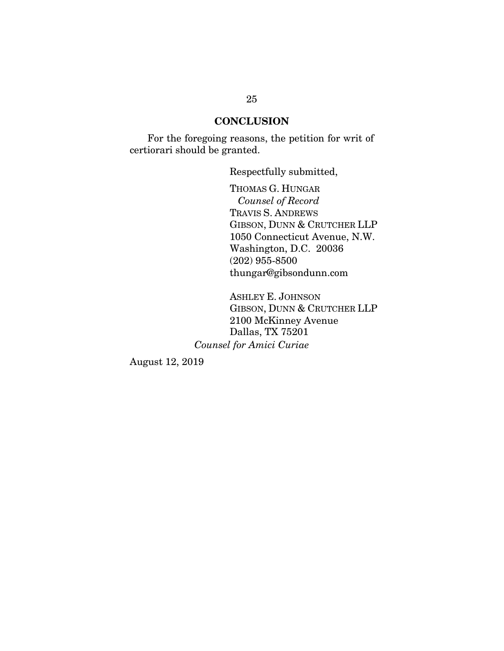### **CONCLUSION**

For the foregoing reasons, the petition for writ of certiorari should be granted.

Respectfully submitted,

THOMAS G. HUNGAR  *Counsel of Record* TRAVIS S. ANDREWS GIBSON, DUNN & CRUTCHER LLP 1050 Connecticut Avenue, N.W. Washington, D.C. 20036 (202) 955-8500 thungar@gibsondunn.com

ASHLEY E. JOHNSON GIBSON, DUNN & CRUTCHER LLP 2100 McKinney Avenue Dallas, TX 75201 *Counsel for Amici Curiae* 

August 12, 2019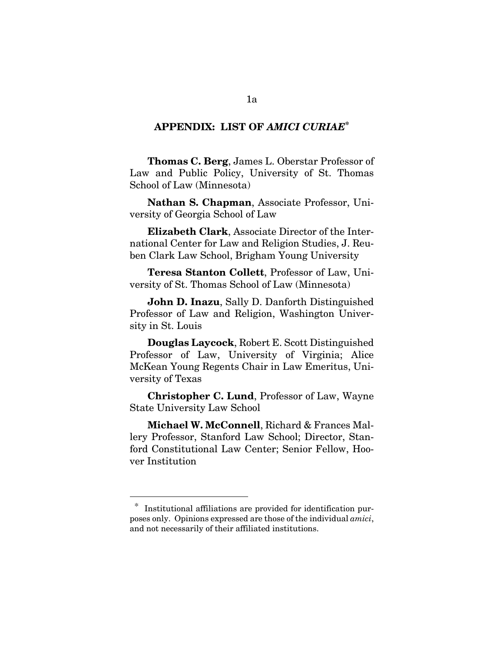### **APPENDIX: LIST OF** *AMICI CURIAE***\***

**Thomas C. Berg**, James L. Oberstar Professor of Law and Public Policy, University of St. Thomas School of Law (Minnesota)

**Nathan S. Chapman**, Associate Professor, University of Georgia School of Law

**Elizabeth Clark**, Associate Director of the International Center for Law and Religion Studies, J. Reuben Clark Law School, Brigham Young University

**Teresa Stanton Collett**, Professor of Law, University of St. Thomas School of Law (Minnesota)

**John D. Inazu**, Sally D. Danforth Distinguished Professor of Law and Religion, Washington University in St. Louis

**Douglas Laycock**, Robert E. Scott Distinguished Professor of Law, University of Virginia; Alice McKean Young Regents Chair in Law Emeritus, University of Texas

**Christopher C. Lund**, Professor of Law, Wayne State University Law School

**Michael W. McConnell**, Richard & Frances Mallery Professor, Stanford Law School; Director, Stanford Constitutional Law Center; Senior Fellow, Hoover Institution

 $\overline{a}$ 

Institutional affiliations are provided for identification purposes only. Opinions expressed are those of the individual *amici*, and not necessarily of their affiliated institutions.